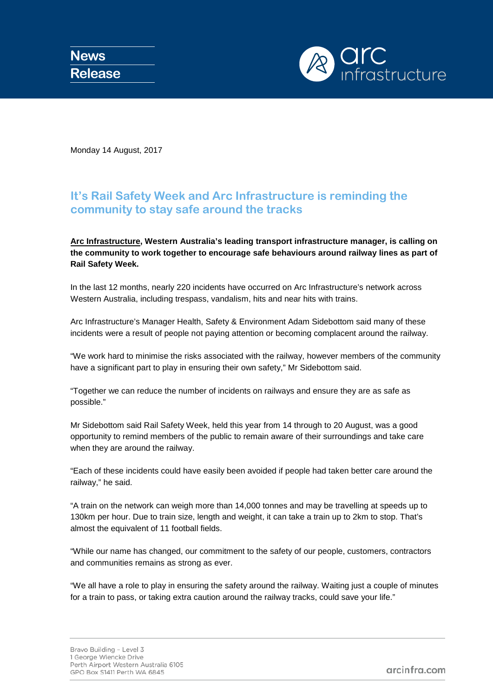

Monday 14 August, 2017

## **It's Rail Safety Week and Arc Infrastructure is reminding the community to stay safe around the tracks**

## **Arc [Infrastructure,](http://www.arcinfra.com/) Western Australia's leading transport infrastructure manager, is calling on the community to work together to encourage safe behaviours around railway lines as part of Rail Safety Week.**

In the last 12 months, nearly 220 incidents have occurred on Arc Infrastructure's network across Western Australia, including trespass, vandalism, hits and near hits with trains.

Arc Infrastructure's Manager Health, Safety & Environment Adam Sidebottom said many of these incidents were a result of people not paying attention or becoming complacent around the railway.

"We work hard to minimise the risks associated with the railway, however members of the community have a significant part to play in ensuring their own safety," Mr Sidebottom said.

"Together we can reduce the number of incidents on railways and ensure they are as safe as possible."

Mr Sidebottom said Rail Safety Week, held this year from 14 through to 20 August, was a good opportunity to remind members of the public to remain aware of their surroundings and take care when they are around the railway.

"Each of these incidents could have easily been avoided if people had taken better care around the railway," he said.

"A train on the network can weigh more than 14,000 tonnes and may be travelling at speeds up to 130km per hour. Due to train size, length and weight, it can take a train up to 2km to stop. That's almost the equivalent of 11 football fields.

"While our name has changed, our commitment to the safety of our people, customers, contractors and communities remains as strong as ever.

"We all have a role to play in ensuring the safety around the railway. Waiting just a couple of minutes for a train to pass, or taking extra caution around the railway tracks, could save your life."